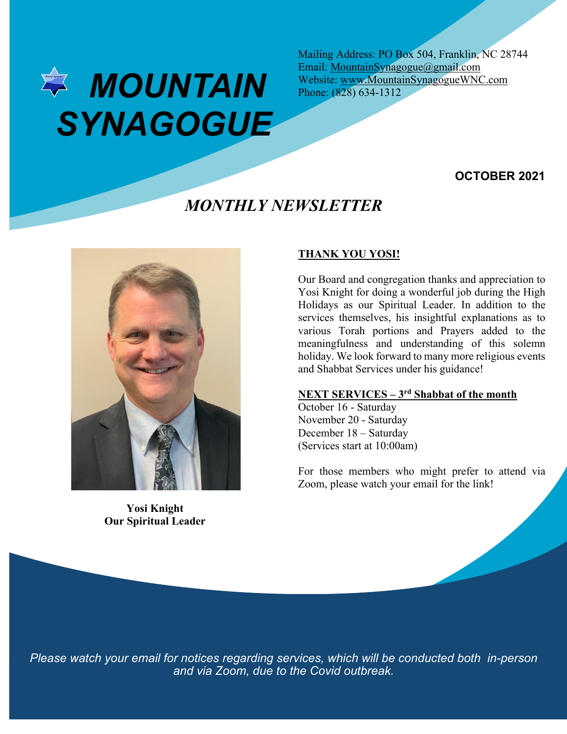

Mailing Address: PO Box 504, Franklin, NC 28744 Email: MountainSynagogue@gmail.com Website: www.MountainSynagogueWNC.com Phone: (828) 634-1312

### **OCTOBER 2021**

# *MONTHLY NEWSLETTER*



**Yosi Knight Our Spiritual Leader**

### **THANK YOU YOSI!**

Our Board and congregation thanks and appreciation to Yosi Knight for doing a wonderful job during the High Holidays as our Spiritual Leader. In addition to the services themselves, his insightful explanations as to various Torah portions and Prayers added to the meaningfulness and understanding of this solemn holiday. We look forward to many more religious events and Shabbat Services under his guidance!

### **NEXT SERVICES – 3rd Shabbat of the month**

October 16 - Saturday November 20 - Saturday December 18 – Saturday (Services start at 10:00am)

For those members who might prefer to attend via Zoom, please watch your email for the link!

*Please watch your email for notices regarding services, which will be conducted both in-person and via Zoom, due to the Covid outbreak.*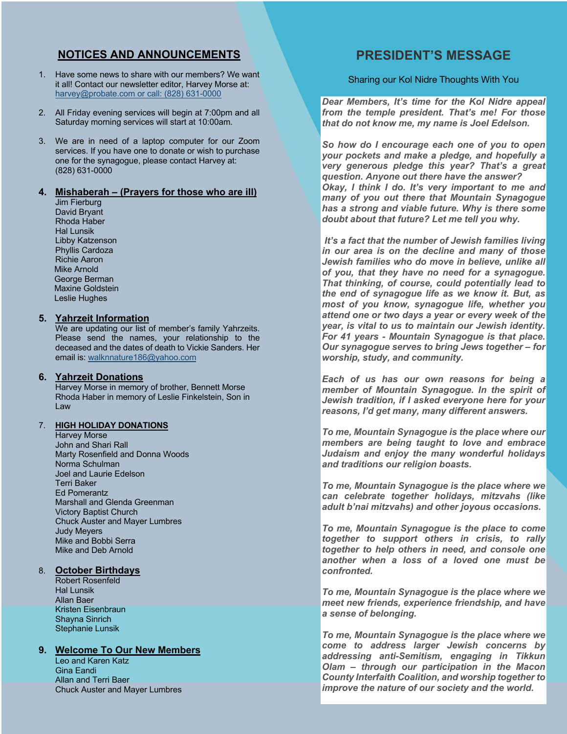### **NOTICES AND ANNOUNCEMENTS**

- 1. Have some news to share with our members? We want it all! Contact our newsletter editor, Harvey Morse at: harvey@probate.com or call: (828) 631-0000
- 2. All Friday evening services will begin at 7:00pm and all Saturday morning services will start at 10:00am.
- 3. We are in need of a laptop computer for our Zoom services. If you have one to donate or wish to purchase one for the synagogue, please contact Harvey at: (828) 631-0000

#### **4. Mishaberah – (Prayers for those who are ill)**

Jim Fierburg David Bryant Rhoda Haber Hal Lunsik Libby Katzenson Phyllis Cardoza Richie Aaron Mike Arnold George Berman Maxine Goldstein Leslie Hughes

#### **5. Yahrzeit Information**

We are updating our list of member's family Yahrzeits. Please send the names, your relationship to the deceased and the dates of death to Vickie Sanders. Her email is: walknnature186@yahoo.com

#### **6. Yahrzeit Donations**

Harvey Morse in memory of brother, Bennett Morse Rhoda Haber in memory of Leslie Finkelstein, Son in Law

#### 7. **HIGH HOLIDAY DONATIONS**

Harvey Morse John and Shari Rall Marty Rosenfield and Donna Woods Norma Schulman Joel and Laurie Edelson Terri Baker Ed Pomerantz Marshall and Glenda Greenman Victory Baptist Church Chuck Auster and Mayer Lumbres Judy Meyers Mike and Bobbi Serra Mike and Deb Arnold

#### 8. **October Birthdays**

Robert Rosenfeld Hal Lunsik Allan Baer Kristen Eisenbraun Shayna Sinrich Stephanie Lunsik

#### **9. Welcome To Our New Members**

Leo and Karen Katz Gina Eandi Allan and Terri Baer Chuck Auster and Mayer Lumbres

## **PRESIDENT'S MESSAGE**

Sharing our Kol Nidre Thoughts With You

*Dear Members, It's time for the Kol Nidre appeal from the temple president. That's me! For those that do not know me, my name is Joel Edelson.*

*So how do I encourage each one of you to open your pockets and make a pledge, and hopefully a very generous pledge this year? That's a great question. Anyone out there have the answer? Okay, I think I do. It's very important to me and many of you out there that Mountain Synagogue has a strong and viable future. Why is there some doubt about that future? Let me tell you why.*

*It's a fact that the number of Jewish families living in our area is on the decline and many of those Jewish families who do move in believe, unlike all of you, that they have no need for a synagogue. That thinking, of course, could potentially lead to the end of synagogue life as we know it. But, as most of you know, synagogue life, whether you attend one or two days a year or every week of the year, is vital to us to maintain our Jewish identity. For 41 years - Mountain Synagogue is that place. Our synagogue serves to bring Jews together – for worship, study, and community.*

*Each of us has our own reasons for being a member of Mountain Synagogue. In the spirit of Jewish tradition, if I asked everyone here for your reasons, I'd get many, many different answers.*

*To me, Mountain Synagogue is the place where our members are being taught to love and embrace Judaism and enjoy the many wonderful holidays and traditions our religion boasts.*

*To me, Mountain Synagogue is the place where we can celebrate together holidays, mitzvahs (like adult b'nai mitzvahs) and other joyous occasions.*

*To me, Mountain Synagogue is the place to come together to support others in crisis, to rally together to help others in need, and console one another when a loss of a loved one must be confronted.*

*To me, Mountain Synagogue is the place where we meet new friends, experience friendship, and have a sense of belonging.*

*To me, Mountain Synagogue is the place where we come to address larger Jewish concerns by addressing anti-Semitism, engaging in Tikkun Olam – through our participation in the Macon County Interfaith Coalition, and worship together to improve the nature of our society and the world.*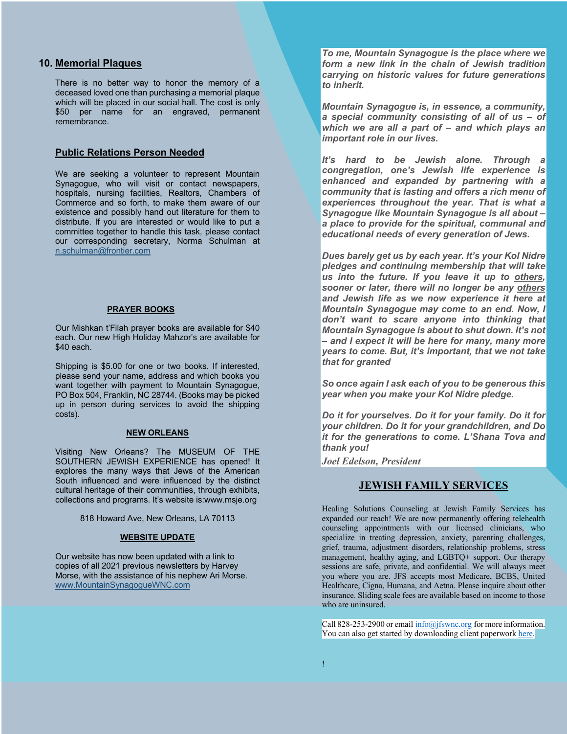#### **10. Memorial Plaques**

There is no better way to honor the memory of a deceased loved one than purchasing a memorial plaque which will be placed in our social hall. The cost is only \$50 per name for an engraved, permanent remembrance.

### **Public Relations Person Needed**

We are seeking a volunteer to represent Mountain Synagogue, who will visit or contact newspapers, hospitals, nursing facilities, Realtors, Chambers of Commerce and so forth, to make them aware of our existence and possibly hand out literature for them to distribute. If you are interested or would like to put a committee together to handle this task, please contact our corresponding secretary, Norma Schulman at n.schulman@frontier.com

#### **PRAYER BOOKS**

Our Mishkan t'Filah prayer books are available for \$40 each. Our new High Holiday Mahzor's are available for \$40 each.

Shipping is \$5.00 for one or two books. If interested, please send your name, address and which books you want together with payment to Mountain Synagogue, PO Box 504, Franklin, NC 28744. (Books may be picked up in person during services to avoid the shipping costs).

#### **NEW ORLEANS**

Visiting New Orleans? The MUSEUM OF THE SOUTHERN JEWISH EXPERIENCE has opened! It explores the many ways that Jews of the American South influenced and were influenced by the distinct cultural heritage of their communities, through exhibits, collections and programs. It's website is:www.msje.org

818 Howard Ave, New Orleans, LA 70113

#### **WEBSITE UPDATE**

Our website has now been updated with a link to copies of all 2021 previous newsletters by Harvey Morse, with the assistance of his nephew Ari Morse. www.MountainSynagogueWNC.com

*To me, Mountain Synagogue is the place where we form a new link in the chain of Jewish tradition carrying on historic values for future generations to inherit.*

*Mountain Synagogue is, in essence, a community, a special community consisting of all of us – of which we are all a part of – and which plays an important role in our lives.*

*It's hard to be Jewish alone. Through a congregation, one's Jewish life experience is enhanced and expanded by partnering with a community that is lasting and offers a rich menu of experiences throughout the year. That is what a Synagogue like Mountain Synagogue is all about – a place to provide for the spiritual, communal and educational needs of every generation of Jews.*

*Dues barely get us by each year. It's your Kol Nidre pledges and continuing membership that will take us into the future. If you leave it up to others, sooner or later, there will no longer be any others and Jewish life as we now experience it here at Mountain Synagogue may come to an end. Now, I don't want to scare anyone into thinking that Mountain Synagogue is about to shut down. It's not – and I expect it will be here for many, many more years to come. But, it's important, that we not take that for granted*

*So once again I ask each of you to be generous this year when you make your Kol Nidre pledge.*

*Do it for yourselves. Do it for your family. Do it for your children. Do it for your grandchildren, and Do it for the generations to come. L'Shana Tova and thank you!*

*Joel Edelson, President*

### **JEWISH FAMILY SERVICES**

Healing Solutions Counseling at Jewish Family Services has expanded our reach! We are now permanently offering telehealth counseling appointments with our licensed clinicians, who specialize in treating depression, anxiety, parenting challenges, grief, trauma, adjustment disorders, relationship problems, stress management, healthy aging, and LGBTQ+ support. Our therapy sessions are safe, private, and confidential. We will always meet you where you are. JFS accepts most Medicare, BCBS, United Healthcare, Cigna, Humana, and Aetna. Please inquire about other insurance. Sliding scale fees are available based on income to those who are uninsured.

Call 828-253-2900 or email  $\frac{info(\hat{a})}{iswnc.org}$  for more information. You can also get started by downloading client paperwork here.